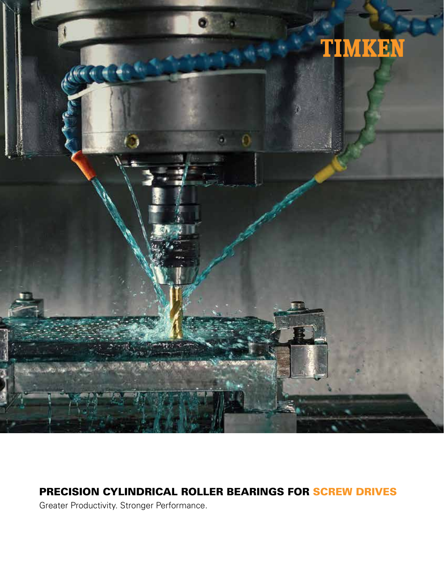

# PRECISION CYLINDRICAL ROLLER BEARINGS FOR SCREW DRIVES

Greater Productivity. Stronger Performance.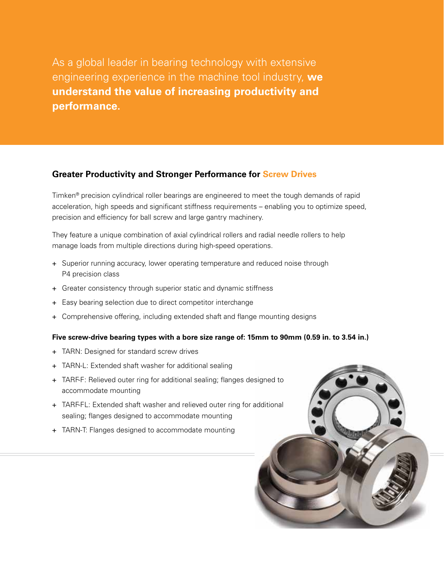As a global leader in bearing technology with extensive engineering experience in the machine tool industry, **we understand the value of increasing productivity and performance.**

#### **Greater Productivity and Stronger Performance for Screw Drives**

Timken® precision cylindrical roller bearings are engineered to meet the tough demands of rapid acceleration, high speeds and significant stiffness requirements – enabling you to optimize speed, precision and efficiency for ball screw and large gantry machinery.

They feature a unique combination of axial cylindrical rollers and radial needle rollers to help manage loads from multiple directions during high-speed operations.

- + Superior running accuracy, lower operating temperature and reduced noise through P4 precision class
- + Greater consistency through superior static and dynamic stiffness
- + Easy bearing selection due to direct competitor interchange
- + Comprehensive offering, including extended shaft and flange mounting designs

#### **Five screw-drive bearing types with a bore size range of: 15mm to 90mm (0.59 in. to 3.54 in.)**

- + TARN: Designed for standard screw drives
- + TARN-L: Extended shaft washer for additional sealing
- + TARF-F: Relieved outer ring for additional sealing; flanges designed to accommodate mounting
- + TARF-FL: Extended shaft washer and relieved outer ring for additional sealing; flanges designed to accommodate mounting
- + TARN-T: Flanges designed to accommodate mounting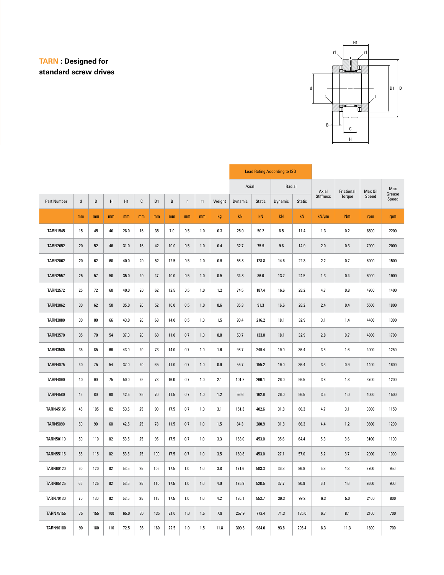## **TARN : Designed for standard screw drives**



|                    |         |     |        |      |        |                |         |                |       |         |         |        | <b>Load Rating According to ISO</b> |               |                  |            |         |                 |
|--------------------|---------|-----|--------|------|--------|----------------|---------|----------------|-------|---------|---------|--------|-------------------------------------|---------------|------------------|------------|---------|-----------------|
|                    |         |     |        |      |        |                |         |                |       |         | Axial   |        | Radial                              |               | Axial            | Frictional | Max Oil | Max             |
| <b>Part Number</b> | $\sf d$ | D   | H      | H1   | С      | D <sub>1</sub> | $\sf B$ | $\bar{\Gamma}$ | r1    | Weight  | Dynamic | Static | Dynamic                             | <b>Static</b> | <b>Stiffness</b> | Torque     | Speed   | Grease<br>Speed |
|                    | mm      | mm  | mm     | mm   | mm     | mm             | mm      | mm             | mm    | kg      | kN      | kN     | kN                                  | kN            | $kN/\mu m$       | Nm         | rpm     | rpm             |
| <b>TARN1545</b>    | 15      | 45  | 40     | 28.0 | 16     | 35             | 7.0     | 0.5            | 1.0   | 0.3     | 25.0    | 50.2   | 8.5                                 | 11.4          | 1.3              | 0.2        | 8500    | 2200            |
| <b>TARN2052</b>    | 20      | 52  | 46     | 31.0 | 16     | 42             | 10.0    | 0.5            | 1.0   | 0.4     | 32.7    | 75.9   | 9.8                                 | 14.9          | 2.0              | 0.3        | 7000    | 2000            |
| <b>TARN2062</b>    | 20      | 62  | 60     | 40.0 | 20     | 52             | 12.5    | 0.5            | 1.0   | 0.9     | 58.8    | 128.8  | 14.6                                | 22.3          | 2.2              | 0.7        | 6000    | 1500            |
| <b>TARN2557</b>    | 25      | 57  | 50     | 35.0 | $20\,$ | 47             | 10.0    | 0.5            | $1.0$ | 0.5     | 34.8    | 86.0   | 13.7                                | 24.5          | 1.3              | 0.4        | 6000    | 1900            |
| <b>TARN2572</b>    | 25      | 72  | 60     | 40.0 | $20\,$ | 62             | 12.5    | 0.5            | 1.0   | 1.2     | 74.5    | 187.4  | 16.6                                | 28.2          | 4.7              | 0.8        | 4900    | 1400            |
| <b>TARN3062</b>    | $30\,$  | 62  | $50\,$ | 35.0 | $20\,$ | 52             | 10.0    | 0.5            | $1.0$ | 0.6     | 35.3    | 91.3   | 16.6                                | 28.2          | 2.4              | 0.4        | 5500    | 1800            |
| <b>TARN3080</b>    | 30      | 80  | 66     | 43.0 | 20     | 68             | 14.0    | 0.5            | 1.0   | 1.5     | 90.4    | 216.2  | 18.1                                | 32.9          | 3.1              | 1.4        | 4400    | 1300            |
| <b>TARN3570</b>    | 35      | 70  | 54     | 37.0 | $20\,$ | 60             | 11.0    | 0.7            | 1.0   | 0.8     | 50.7    | 133.0  | 18.1                                | 32.9          | 2.8              | 0.7        | 4800    | 1700            |
| <b>TARN3585</b>    | 35      | 85  | 66     | 43.0 | $20\,$ | 73             | 14.0    | 0.7            | 1.0   | 1.6     | 98.7    | 249.4  | 19.0                                | 36.4          | 3.6              | 1.6        | 4000    | 1250            |
| <b>TARN4075</b>    | 40      | 75  | 54     | 37.0 | $20\,$ | 65             | 11.0    | 0.7            | 1.0   | $0.9\,$ | 55.7    | 155.2  | 19.0                                | 36.4          | 3.3              | 0.9        | 4400    | 1600            |
| <b>TARN4090</b>    | 40      | 90  | 75     | 50.0 | 25     | 78             | 16.0    | 0.7            | 1.0   | 2.1     | 101.8   | 266.1  | 26.0                                | 56.5          | 3.8              | 1.8        | 3700    | 1200            |
| <b>TARN4580</b>    | 45      | 80  | 60     | 42.5 | 25     | 70             | 11.5    | 0.7            | 1.0   | $1.2$   | 56.6    | 162.6  | 26.0                                | 56.5          | 3.5              | 1.0        | 4000    | 1500            |
| TARN45105          | 45      | 105 | 82     | 53.5 | 25     | 90             | 17.5    | 0.7            | 1.0   | 3.1     | 151.3   | 402.6  | 31.8                                | 66.3          | 4.7              | 3.1        | 3300    | 1150            |
| <b>TARN5090</b>    | 50      | 90  | 60     | 42.5 | 25     | 78             | 11.5    | 0.7            | 1.0   | 1.5     | 84.3    | 280.9  | 31.8                                | 66.3          | 4.4              | 1.2        | 3600    | 1200            |
| TARN50110          | 50      | 110 | 82     | 53.5 | 25     | 95             | 17.5    | 0.7            | 1.0   | 3.3     | 163.0   | 453.0  | 35.6                                | 64.4          | 5.3              | 3.6        | 3100    | 1100            |
| <b>TARN55115</b>   | 55      | 115 | 82     | 53.5 | 25     | 100            | 17.5    | 0.7            | 1.0   | 3.5     | 160.8   | 453.0  | 27.1                                | 57.0          | 5.2              | 3.7        | 2900    | 1000            |
| TARN60120          | 60      | 120 | 82     | 53.5 | 25     | 105            | 17.5    | 1.0            | 1.0   | 3.8     | 171.6   | 503.3  | 36.8                                | 86.8          | 5.8              | 4.3        | 2700    | 950             |
| <b>TARN65125</b>   | 65      | 125 | 82     | 53.5 | 25     | 110            | 17.5    | 1.0            | 1.0   | $4.0$   | 175.9   | 528.5  | 37.7                                | 90.9          | 6.1              | 4.6        | 2600    | 900             |
| TARN70130          | 70      | 130 | 82     | 53.5 | 25     | 115            | 17.5    | 1.0            | 1.0   | 4.2     | 180.1   | 553.7  | 39.3                                | 99.2          | 6.3              | 5.0        | 2400    | 800             |
| <b>TARN75155</b>   | 75      | 155 | 100    | 65.0 | 30     | 135            | 21.0    | 1.0            | 1.5   | 7.9     | 257.9   | 772.4  | 71.3                                | 135.0         | 6.7              | 8.1        | 2100    | 700             |
| TARN90180          | 90      | 180 | 110    | 72.5 | 35     | 160            | 22.5    | 1.0            | 1.5   | 11.8    | 309.8   | 984.0  | 93.8                                | 205.4         | 8.3              | 11.3       | 1800    | 700             |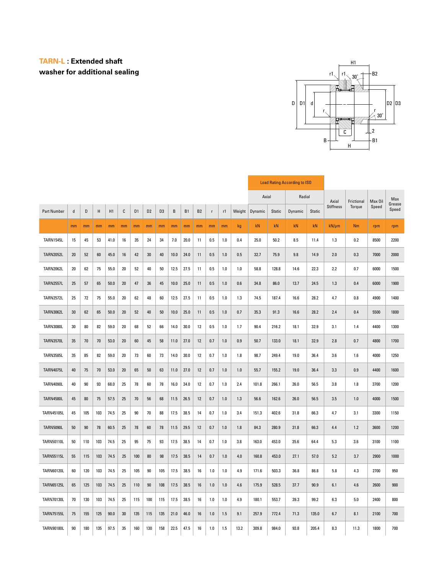### **TARN-L : Extended shaft washer for additional sealing**



|                    |        |     |      |      |        |                |                |                |      |      |                |             |         |        |         |        | <b>Load Rating According to ISO</b> |        |            |            |         |                 |
|--------------------|--------|-----|------|------|--------|----------------|----------------|----------------|------|------|----------------|-------------|---------|--------|---------|--------|-------------------------------------|--------|------------|------------|---------|-----------------|
|                    |        |     |      |      |        |                |                |                |      |      |                |             |         |        | Axial   |        | Radial                              |        | Axial      | Frictional | Max Oil | Max             |
| <b>Part Number</b> | d      | D   | Н    | H1   | C      | D <sub>1</sub> | D <sub>2</sub> | D <sub>3</sub> | B    | B1   | B <sub>2</sub> | $\mathsf r$ | r1      | Weight | Dynamic | Static | Dynamic                             | Static | Stiffness  | Torque     | Speed   | Grease<br>Speed |
|                    | mm     | mm  | mm   | mm   | mm     | mm             | mm             | mm             | mm   | mm   | mm             | mm          | mm      | kg     | kN      | kN     | kN                                  | kN     | $kN/\mu m$ | Nm         | rpm     | rpm             |
| <b>TARN1545L</b>   | 15     | 45  | 53   | 41.0 | 16     | 35             | 24             | 34             | 7.0  | 20.0 | 11             | 0.5         | 1.0     | 0.4    | 25.0    | 50.2   | 8.5                                 | 11.4   | 1.3        | 0.2        | 8500    | 2200            |
| <b>TARN2052L</b>   | $20\,$ | 52  | 60   | 45.0 | 16     | 42             | 30             | 40             | 10.0 | 24.0 | 11             | 0.5         | 1.0     | 0.5    | 32.7    | 75.9   | 9.8                                 | 14.9   | 2.0        | 0.3        | 7000    | 2000            |
| <b>TARN2062L</b>   | 20     | 62  | 75   | 55.0 | 20     | 52             | 40             | 50             | 12.5 | 27.5 | 11             | 0.5         | $1.0\,$ | 1.0    | 58.8    | 128.8  | 14.6                                | 22.3   | 2.2        | 0.7        | 6000    | 1500            |
| <b>TARN2557L</b>   | 25     | 57  | 65   | 50.0 | $20\,$ | 47             | 36             | 45             | 10.0 | 25.0 | 11             | 0.5         | 1.0     | 0.6    | 34.8    | 86.0   | 13.7                                | 24.5   | 1.3        | 0.4        | 6000    | 1900            |
| <b>TARN2572L</b>   | 25     | 72  | 75   | 55.0 | $20\,$ | 62             | 48             | 60             | 12.5 | 27.5 | 11             | 0.5         | $1.0$   | 1.3    | 74.5    | 187.4  | 16.6                                | 28.2   | 4.7        | 0.8        | 4900    | 1400            |
| <b>TARN3062L</b>   | $30\,$ | 62  | 65   | 50.0 | $20\,$ | 52             | 40             | $50\,$         | 10.0 | 25.0 | 11             | 0.5         | 1.0     | 0.7    | 35.3    | 91.3   | 16.6                                | 28.2   | 2.4        | 0.4        | 5500    | 1800            |
| <b>TARN3080L</b>   | $30\,$ | 80  | 82   | 59.0 | $20\,$ | 68             | 52             | 66             | 14.0 | 30.0 | 12             | 0.5         | $1.0$   | 1.7    | 90.4    | 216.2  | 18.1                                | 32.9   | 3.1        | 1.4        | 4400    | 1300            |
| <b>TARN3570L</b>   | 35     | 70  | $70$ | 53.0 | $20\,$ | 60             | 45             | 58             | 11.0 | 27.0 | 12             | 0.7         | $1.0\,$ | 0.9    | 50.7    | 133.0  | 18.1                                | 32.9   | 2.8        | 0.7        | 4800    | 1700            |
| <b>TARN3585L</b>   | 35     | 85  | 82   | 59.0 | 20     | 73             | 60             | 73             | 14.0 | 30.0 | 12             | 0.7         | $1.0$   | 1.8    | 98.7    | 249.4  | 19.0                                | 36.4   | 3.6        | 1.6        | 4000    | 1250            |
| <b>TARN4075L</b>   | 40     | 75  | $70$ | 53.0 | 20     | 65             | 50             | 63             | 11.0 | 27.0 | 12             | 0.7         | 1.0     | 1.0    | 55.7    | 155.2  | 19.0                                | 36.4   | 3.3        | 0.9        | 4400    | 1600            |
| <b>TARN4090L</b>   | 40     | 90  | 93   | 68.0 | 25     | 78             | 60             | 78             | 16.0 | 34.0 | 12             | 0.7         | 1.0     | 2.4    | 101.8   | 266.1  | 26.0                                | 56.5   | 3.8        | 1.8        | 3700    | 1200            |
| <b>TARN4580L</b>   | 45     | 80  | 75   | 57.5 | 25     | $70\,$         | 56             | 68             | 11.5 | 26.5 | 12             | 0.7         | 1.0     | 1.3    | 56.6    | 162.6  | 26.0                                | 56.5   | 3.5        | 1.0        | 4000    | 1500            |
| <b>TARN45105L</b>  | 45     | 105 | 103  | 74.5 | 25     | 90             | 70             | 88             | 17.5 | 38.5 | 14             | 0.7         | 1.0     | 3.4    | 151.3   | 402.6  | 31.8                                | 66.3   | 4.7        | 3.1        | 3300    | 1150            |
| <b>TARN5090L</b>   | 50     | 90  | 78   | 60.5 | 25     | 78             | 60             | 78             | 11.5 | 29.5 | 12             | 0.7         | 1.0     | 1.8    | 84.3    | 280.9  | 31.8                                | 66.3   | 4.4        | 1.2        | 3600    | 1200            |
| <b>TARN50110L</b>  | 50     | 110 | 103  | 74.5 | 25     | 95             | 75             | 93             | 17.5 | 38.5 | 14             | 0.7         | 1.0     | 3.8    | 163.0   | 453.0  | 35.6                                | 64.4   | 5.3        | 3.6        | 3100    | 1100            |
| <b>TARN55115L</b>  | 55     | 115 | 103  | 74.5 | 25     | 100            | 80             | 98             | 17.5 | 38.5 | 14             | 0.7         | 1.0     | 4.0    | 160.8   | 453.0  | 27.1                                | 57.0   | 5.2        | 3.7        | 2900    | 1000            |
| <b>TARN60120L</b>  | 60     | 120 | 103  | 74.5 | 25     | 105            | 90             | 105            | 17.5 | 38.5 | 16             | 1.0         | 1.0     | 4.9    | 171.6   | 503.3  | 36.8                                | 86.8   | 5.8        | 4.3        | 2700    | 950             |
| <b>TARN65125L</b>  | 65     | 125 | 103  | 74.5 | 25     | 110            | 90             | 108            | 17.5 | 38.5 | 16             | 1.0         | 1.0     | 4.6    | 175.9   | 528.5  | 37.7                                | 90.9   | 6.1        | 4.6        | 2600    | 900             |
| <b>TARN70130L</b>  | 70     | 130 | 103  | 74.5 | 25     | 115            | 100            | 115            | 17.5 | 38.5 | 16             | 1.0         | $1.0$   | 4.9    | 180.1   | 553.7  | 39.3                                | 99.2   | 6.3        | 5.0        | 2400    | 800             |
| <b>TARN75155L</b>  | 75     | 155 | 125  | 90.0 | 30     | 135            | 115            | 135            | 21.0 | 46.0 | 16             | 1.0         | 1.5     | 9.1    | 257.9   | 772.4  | 71.3                                | 135.0  | 6.7        | 8.1        | 2100    | 700             |
| <b>TARN90180L</b>  | 90     | 180 | 135  | 97.5 | 35     | 160            | 130            | 158            | 22.5 | 47.5 | 16             | 1.0         | 1.5     | 13.2   | 309.8   | 984.0  | 93.8                                | 205.4  | 8.3        | 11.3       | 1800    | 700             |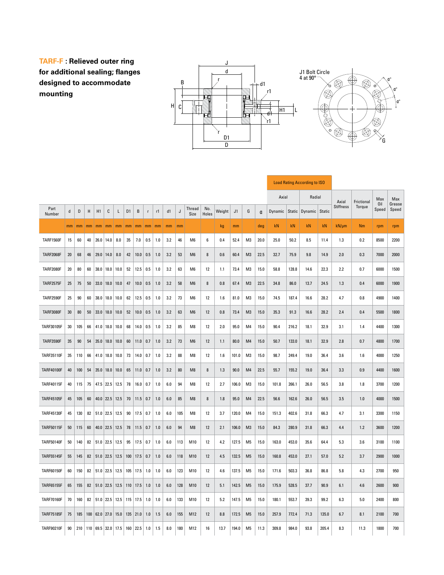**TARF-F : Relieved outer ring for additional sealing; flanges designed to accommodate mounting**



|                   |    |     |    |               |               |                                                     |                |            |              |     |     |     |                |              |        |                |                |      |         |        | <b>Load Rating According to ISO</b> |        |                  |            |              |                 |
|-------------------|----|-----|----|---------------|---------------|-----------------------------------------------------|----------------|------------|--------------|-----|-----|-----|----------------|--------------|--------|----------------|----------------|------|---------|--------|-------------------------------------|--------|------------------|------------|--------------|-----------------|
|                   |    |     |    |               |               |                                                     |                |            |              |     |     |     |                |              |        |                |                |      | Axial   |        | Radial                              |        | Axial            | Frictional | Max          | Max             |
| Part<br>Number    | d  | D   | H  | H1            | C             | Г                                                   | D <sub>1</sub> | $\sf B$    | $\mathsf{r}$ | r1  | d1  | J   | Thread<br>Size | No.<br>Holes | Weight | J <sub>1</sub> | G              | α    | Dynamic | Static | Dynamic                             | Static | <b>Stiffness</b> | Torque     | 0il<br>Speed | Grease<br>Speed |
|                   | mm | mm  |    |               |               | $mm \mid mm \mid mm \mid mm$                        | mm             | mm         | mm           | mm  | mm  | mm  |                |              | kg     | mm             |                | deg  | kN      | kN     | kN                                  | kN     | $kN/\mu m$       | Nm         | rpm          | rpm             |
| <b>TARF1560F</b>  | 15 | 60  | 40 |               | $26.0$ 14.0   | 8.0                                                 | 35             | 7.0        | 0.5          | 1.0 | 3.2 | 46  | M <sub>6</sub> | 6            | 0.4    | 52.4           | M3             | 20.0 | 25.0    | 50.2   | 8.5                                 | 11.4   | 1.3              | 0.2        | 8500         | 2200            |
| <b>TARF2068F</b>  | 20 | 68  | 46 | $29.0$   14.0 |               | 8.0                                                 | 42             | 10.0       | 0.5          | 1.0 | 3.2 | 53  | M <sub>6</sub> | 8            | 0.6    | 60.4           | M <sub>3</sub> | 22.5 | 32.7    | 75.9   | 9.8                                 | 14.9   | 2.0              | 0.3        | 7000         | 2000            |
| <b>TARF2080F</b>  | 20 | 80  | 60 |               |               | $38.0$   18.0   10.0                                | 52             | 12.5       | 0.5          | 1.0 | 3.2 | 63  | M6             | 12           | 1.1    | 73.4           | M3             | 15.0 | 58.8    | 128.8  | 14.6                                | 22.3   | 2.2              | 0.7        | 6000         | 1500            |
| <b>TARF2575F</b>  | 25 | 75  | 50 |               | $33.0$   18.0 | 10.0                                                | 47             | 10.0       | 0.5          | 1.0 | 3.2 | 58  | M <sub>6</sub> | 8            | 0.8    | 67.4           | M <sub>3</sub> | 22.5 | 34.8    | 86.0   | 13.7                                | 24.5   | 1.3              | 0.4        | 6000         | 1900            |
| <b>TARF2590F</b>  | 25 | 90  | 60 |               |               | $38.0$ 18.0 10.0                                    | 62             | 12.5       | $0.5\,$      | 1.0 | 3.2 | 73  | M6             | 12           | 1.6    | 81.0           | M3             | 15.0 | 74.5    | 187.4  | 16.6                                | 28.2   | 4.7              | 0.8        | 4900         | 1400            |
| <b>TARF3080F</b>  | 30 | 80  | 50 |               |               | $33.0$ 18.0 10.0                                    | 52             | 10.0       | 0.5          | 1.0 | 3.2 | 63  | M <sub>6</sub> | 12           | 0.8    | 73.4           | M <sub>3</sub> | 15.0 | 35.3    | 91.3   | 16.6                                | 28.2   | 2.4              | 0.4        | 5500         | 1800            |
| TARF30105F        | 30 | 105 | 66 |               |               | 41.0 18.0 10.0                                      | 68             | 14.0       | $0.5\,$      | 1.0 | 3.2 | 85  | M8             | 12           | 2.0    | 95.0           | M4             | 15.0 | 90.4    | 216.2  | 18.1                                | 32.9   | 3.1              | 1.4        | 4400         | 1300            |
| <b>TARF3590F</b>  | 35 | 90  | 54 | 35.0          | 18.0          | 10.0                                                | 60             | 11.0       | 0.7          | 1.0 | 3.2 | 73  | M <sub>6</sub> | 12           | 1.1    | 80.0           | M4             | 15.0 | 50.7    | 133.0  | 18.1                                | 32.9   | 2.8              | 0.7        | 4800         | 1700            |
| TARF35110F        | 35 | 110 | 66 |               |               | 41.0 18.0 10.0                                      | 73             | 14.0       | 0.7          | 1.0 | 3.2 | 88  | M8             | 12           | 1.6    | 101.0          | M3             | 15.0 | 98.7    | 249.4  | 19.0                                | 36.4   | 3.6              | 1.6        | 4000         | 1250            |
| <b>TARF40100F</b> | 40 | 100 | 54 | 35.0          | 18.0          | 10.0                                                | 65             | 11.0       | 0.7          | 1.0 | 3.2 | 80  | M <sub>8</sub> | 8            | 1.3    | 90.0           | M4             | 22.5 | 55.7    | 155.2  | 19.0                                | 36.4   | 3.3              | 0.9        | 4400         | 1600            |
| TARF40115F        | 40 | 115 | 75 |               |               | 47.5 22.5 12.5                                      | 78             | 16.0       | 0.7          | 1.0 | 6.0 | 94  | M <sub>8</sub> | 12           | 2.7    | 106.0          | M3             | 15.0 | 101.8   | 266.1  | 26.0                                | 56.5   | 3.8              | 1.8        | 3700         | 1200            |
| <b>TARF45105F</b> | 45 | 105 | 60 |               |               | 40.0 22.5 12.5                                      | 70             | 11.5       | 0.7          | 1.0 | 6.0 | 85  | M <sub>8</sub> | 8            | 1.8    | 95.0           | M4             | 22.5 | 56.6    | 162.6  | 26.0                                | 56.5   | 3.5              | 1.0        | 4000         | 1500            |
| <b>TARF45130F</b> | 45 | 130 | 82 |               |               | 51.0 22.5 12.5                                      | 90             | 17.5       | 0.7          | 1.0 | 6.0 | 105 | M8             | 12           | 3.7    | 120.0          | M4             | 15.0 | 151.3   | 402.6  | 31.8                                | 66.3   | 4.7              | 3.1        | 3300         | 1150            |
| <b>TARF50115F</b> | 50 | 115 | 60 |               |               | 40.0 22.5 12.5                                      | 78             | 11.5       | 0.7          | 1.0 | 6.0 | 94  | M <sub>8</sub> | 12           | 2.1    | 106.0          | M <sub>3</sub> | 15.0 | 84.3    | 280.9  | 31.8                                | 66.3   | 4.4              | 1.2        | 3600         | 1200            |
| <b>TARF50140F</b> | 50 | 140 | 82 |               |               | 51.0 22.5 12.5                                      | 95             | $17.5$ 0.7 |              | 1.0 | 6.0 | 113 | M10            | 12           | 4.2    | 127.5          | M <sub>5</sub> | 15.0 | 163.0   | 453.0  | 35.6                                | 64.4   | 5.3              | 3.6        | 3100         | 1100            |
| <b>TARF55145F</b> | 55 | 145 | 82 |               |               | $51.0$ 22.5 12.5                                    | 100            | 17.5       | 0.7          | 1.0 | 6.0 | 118 | M10            | 12           | 4.5    | 132.5          | M <sub>5</sub> | 15.0 | 160.8   | 453.0  | 27.1                                | 57.0   | 5.2              | 3.7        | 2900         | 1000            |
| TARF60150F        | 60 | 150 | 82 |               |               | $51.0$ 22.5 12.5 105 17.5 1.0                       |                |            |              | 1.0 | 6.0 | 123 | M10            | 12           | 4.6    | 137.5          | M5             | 15.0 | 171.6   | 503.3  | 36.8                                | 86.8   | 5.8              | 4.3        | 2700         | 950             |
| TARF65155F        | 65 | 155 | 82 |               |               | 51.0 22.5 12.5                                      |                | $110$ 17.5 | 1.0          | 1.0 | 6.0 | 128 | M10            | 12           | 5.1    | 142.5          | M5             | 15.0 | 175.9   | 528.5  | 37.7                                | 90.9   | 6.1              | 4.6        | 2600         | 900             |
| <b>TARF70160F</b> | 70 | 160 | 82 |               |               | 51.0 22.5 12.5 115 17.5 1.0                         |                |            |              | 1.0 | 6.0 | 133 | M10            | 12           | 5.2    | 147.5          | M5             | 15.0 | 180.1   | 553.7  | 39.3                                | 99.2   | 6.3              | 5.0        | 2400         | 800             |
| <b>TARF75185F</b> | 75 | 185 |    |               |               | $100$ 62.0 27.0 15.0                                |                | $135$ 21.0 | 1.0          | 1.5 | 6.0 | 155 | M12            | 12           | 8.8    | 172.5          | M <sub>5</sub> | 15.0 | 257.9   | 772.4  | 71.3                                | 135.0  | 6.7              | 8.1        | 2100         | 700             |
| <b>TARF90210F</b> | 90 |     |    |               |               | $210$   110   69.5   32.0   17.5   160   22.5   1.0 |                |            |              | 1.5 | 8.0 | 180 | M12            | 16           | 13.7   | 194.0          | M5             | 11.3 | 309.8   | 984.0  | 93.8                                | 205.4  | 8.3              | 11.3       | 1800         | 700             |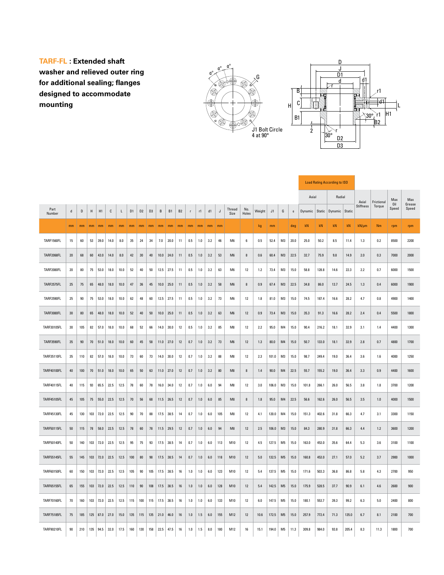**TARF-FL : Extended shaft washer and relieved outer ring for additional sealing; flanges designed to accommodate mounting**





|                    |             |     |     |                |      |      |                |                |                |      |                |                |              | <b>Load Rating According to ISO</b> |         |       |                |              |        |       |                |                |         |        |                |       |                  |         |              |                 |
|--------------------|-------------|-----|-----|----------------|------|------|----------------|----------------|----------------|------|----------------|----------------|--------------|-------------------------------------|---------|-------|----------------|--------------|--------|-------|----------------|----------------|---------|--------|----------------|-------|------------------|---------|--------------|-----------------|
|                    |             |     |     |                |      |      |                |                |                |      |                | Axial          |              | Radial                              |         | Axial | Frictional     | Max          | Max    |       |                |                |         |        |                |       |                  |         |              |                 |
| Part<br>Number     | $\mathbf d$ | D   | Н   | H1             | С    | L    | D <sub>1</sub> | D <sub>2</sub> | D <sub>3</sub> | В    | B <sub>1</sub> | B <sub>2</sub> | $\mathbf{r}$ | r1                                  | d1      | J     | Thread<br>Size | No.<br>Holes | Weight | J1    | G              | $\mathfrak{a}$ | Dynamic | Static | Dynamic Static |       | <b>Stiffness</b> | Torque  | 0il<br>Speed | Grease<br>Speed |
|                    | mm          | mm  | mm  | m <sub>m</sub> | mm   | mm   | mm.            | mm             | mm             | mm   | mm             | mm             | mm           | mm                                  | mm      | mm    |                |              | kg     | mm    |                | deg            | kN      | kN     | kN             | kN    | $kN/\mu m$       | Nm      | rpm          | rpm             |
| TARF1560FL         | 15          | 60  | 53  | 39.0           | 14.0 | 8.0  | 35             | 24             | 34             | 7.0  | 20.0           | 11             | 0.5          | 1.0                                 | 3.2     | 46    | M6             | 6            | 0.5    | 52.4  | M3             | 20.0           | 25.0    | 50.2   | 8.5            | 11.4  | 1.3              | 0.2     | 8500         | 2200            |
| <b>TARF2068FL</b>  | 20          | 68  | 60  | 43.0           | 14.0 | 8.0  | 42             | $30\,$         | 40             | 10.0 | 24.0           | 11             | 0.5          | 1.0                                 | 3.2     | 53    | M <sub>6</sub> | 8            | 0.6    | 60.4  | M3             | 22.5           | 32.7    | 75.9   | 9.8            | 14.9  | 2.0              | 0.3     | 7000         | 2000            |
| <b>TARF2080FL</b>  | 20          | 80  | 75  | 53.0           | 18.0 | 10.0 | 52             | 40             | 50             | 12.5 | 27.5           | 11             | 0.5          | 1.0                                 | 3.2     | 63    | M <sub>6</sub> | 12           | 1.2    | 73.4  | M <sub>3</sub> | 15.0           | 58.8    | 128.8  | 14.6           | 22.3  | 2.2              | 0.7     | 6000         | 1500            |
| TARF2575FL         | 25          | 75  | 65  | 48.0           | 18.0 | 10.0 | 47             | 36             | 45             | 10.0 | 25.0           | 11             | 0.5          | 1.0                                 | 3.2     | 58    | M <sub>6</sub> | 8            | 0.9    | 67.4  | M3             | 22.5           | 34.8    | 86.0   | 13.7           | 24.5  | 1.3              | 0.4     | 6000         | 1900            |
| TARF2590FL         | 25          | 90  | 75  | 53.0           | 18.0 | 10.0 | 62             | 48             | 60             | 12.5 | 27.5           | 11             | 0.5          | 1.0                                 | 3.2     | 73    | M <sub>6</sub> | 12           | 1.8    | 81.0  | M3             | 15.0           | 74.5    | 187.4  | 16.6           | 28.2  | 4.7              | 0.8     | 4900         | 1400            |
| <b>TARF3080FL</b>  | 30          | 80  | 65  | 48.0           | 18.0 | 10.0 | 52             | 40             | $50^{\circ}$   | 10.0 | 25.0           | 11             | 0.5          | 1.0                                 | 3.2     | 63    | M6             | 12           | 0.9    | 73.4  | M3             | 15.0           | 35.3    | 91.3   | 16.6           | 28.2  | 2.4              | 0.4     | 5500         | 1800            |
| TARF30105FL        | 30          | 105 | 82  | 57.0           | 18.0 | 10.0 | 68             | 52             | 66             | 14.0 | 30.0           | 12             | 0.5          | 1.0                                 | 3.2     | 85    | M <sub>8</sub> | 12           | 2.2    | 95.0  | M4             | 15.0           | 90.4    | 216.2  | 18.1           | 32.9  | 3.1              | 1.4     | 4400         | 1300            |
| TARF3590FL         | 35          | 90  | 70  | 51.0           | 18.0 | 10.0 | 60             | 45             | 58             | 11.0 | 27.0           | 12             | 0.7          | 1.0                                 | 3.2     | 73    | M <sub>6</sub> | 12           | 1.3    | 80.0  | M <sub>4</sub> | 15.0           | 50.7    | 133.0  | 18.1           | 32.9  | 2.8              | 0.7     | 4800         | 1700            |
| TARF35110FL        | 35          | 110 | 82  | 57.0           | 18.0 | 10.0 | 73             | 60             | 73             | 14.0 | 30.0           | 12             | 0.7          | $1.0$                               | 3.2     | 88    | M8             | 12           | 2.3    | 101.0 | M3             | 15.0           | 98.7    | 249.4  | 19.0           | 36.4  | 3.6              | 1.6     | 4000         | 1250            |
| <b>TARF40100FL</b> | 40          | 100 | 70  | 51.0           | 18.0 | 10.0 | 65             | 50             | 63             | 11.0 | 27.0           | 12             | 0.7          | 1.0                                 | 3.2     | 80    | M <sub>8</sub> | 8            | 1.4    | 90.0  | M4             | 22.5           | 55.7    | 155.2  | 19.0           | 36.4  | 3.3              | 0.9     | 4400         | 1600            |
| <b>TARF40115FL</b> | 40          | 115 | 93  | 65.5           | 22.5 | 12.5 | 78             | 60             | 78             | 16.0 | 34.0           | 12             | 0.7          | 1.0                                 | 6.0     | 94    | M8             | 12           | 3.0    | 106.0 | M3             | 15.0           | 101.8   | 266.1  | 26.0           | 56.5  | 3.8              | 1.8     | 3700         | 1200            |
| <b>TARF45105FL</b> | 45          | 105 | 75  | 55.0           | 22.5 | 12.5 | $70\,$         | $56\,$         | 68             | 11.5 | 26.5           | 12             | 0.7          | $1.0$                               | $6.0\,$ | 85    | M8             | 8            | 1.8    | 95.0  | M4             | 22.5           | 56.6    | 162.6  | 26.0           | 56.5  | 3.5              | $1.0\,$ | 4000         | 1500            |
| <b>TARF45130FL</b> | 45          | 130 | 103 | 72.0           | 22.5 | 12.5 | 90             | 70             | 88             | 17.5 | 38.5           | 14             | 0.7          | 1.0                                 | 6.0     | 105   | M8             | 12           | 4.1    | 120.0 | M4             | 15.0           | 151.3   | 402.6  | 31.8           | 66.3  | 4.7              | 3.1     | 3300         | 1150            |
| <b>TARF50115FL</b> | 50          | 115 | 78  | 58.0           | 22.5 | 12.5 | 78             | 60             | 78             | 11.5 | 29.5           | 12             | 0.7          | 1.0                                 | 6.0     | 94    | M <sub>8</sub> | 12           | 2.5    | 106.0 | M <sub>3</sub> | 15.0           | 84.3    | 280.9  | 31.8           | 66.3  | 4.4              | 1.2     | 3600         | 1200            |
| <b>TARF50140FL</b> | 50          | 140 | 103 | 72.0           | 22.5 | 12.5 | 95             | 75             | 93             | 17.5 | 38.5           | 14             | 0.7          | $1.0\,$                             | $6.0\,$ | 113   | M10            | 12           | 4.5    | 127.5 | M <sub>5</sub> | $15.0\,$       | 163.0   | 453.0  | 35.6           | 64.4  | 5.3              | 3.6     | 3100         | 1100            |
| <b>TARF55145FL</b> | 55          | 145 | 103 | 72.0           | 22.5 | 12.5 | 100            | $80\,$         | 98             | 17.5 | 38.5           | 14             | 0.7          | $1.0$                               | $6.0\,$ | 118   | M10            | 12           | 5.0    | 132.5 | M <sub>5</sub> | 15.0           | 160.8   | 453.0  | 27.1           | 57.0  | 5.2              | 3.7     | 2900         | 1000            |
| <b>TARF60150FL</b> | 60          | 150 | 103 | 72.0           | 22.5 | 12.5 | 105            | 90             | 105            | 17.5 | 38.5           | 16             | 1.0          | 1.0                                 | 6.0     | 123   | M10            | 12           | 5.4    | 137.5 | M5             | 15.0           | 171.6   | 503.3  | 36.8           | 86.8  | 5.8              | 4.3     | 2700         | 950             |
| <b>TARF65155FL</b> | 65          | 155 | 103 | 72.0           | 22.5 | 12.5 | 110            | 90             | 108            | 17.5 | 38.5           | 16             | 1.0          | 1.0                                 | 6.0     | 128   | M10            | 12           | 5.4    | 142.5 | M <sub>5</sub> | 15.0           | 175.9   | 528.5  | 37.7           | 90.9  | 6.1              | 4.6     | 2600         | 900             |
| <b>TARF70160FL</b> | 70          | 160 | 103 | 72.0           | 22.5 | 12.5 | 115            | 100            | 115            | 17.5 | 38.5           | 16             | 1.0          | 1.0                                 | 6.0     | 133   | M10            | 12           | 6.0    | 147.5 | M <sub>5</sub> | 15.0           | 180.1   | 553.7  | 39.3           | 99.2  | 6.3              | 5.0     | 2400         | 800             |
| <b>TARF75185FL</b> | 75          | 185 | 125 | 87.0           | 27.0 | 15.0 | 135            | 115            | 135            | 21.0 | 46.0           | 16             | 1.0          | 1.5                                 | 6.0     | 155   | M12            | 12           | 10.6   | 172.5 | M <sub>5</sub> | 15.0           | 257.9   | 772.4  | 71.3           | 135.0 | 6.7              | 8.1     | 2100         | 700             |
| TARF90210FL        | 90          | 210 | 135 | 94.5           | 32.0 | 17.5 | 160            | 130            | 158            | 22.5 | 47.5           | 16             | 1.0          | 1.5                                 | 8.0     | 180   | M12            | 16           | 15.1   | 194.0 | M <sub>5</sub> | 11.3           | 309.8   | 984.0  | 93.8           | 205.4 | 8.3              | 11.3    | 1800         | 700             |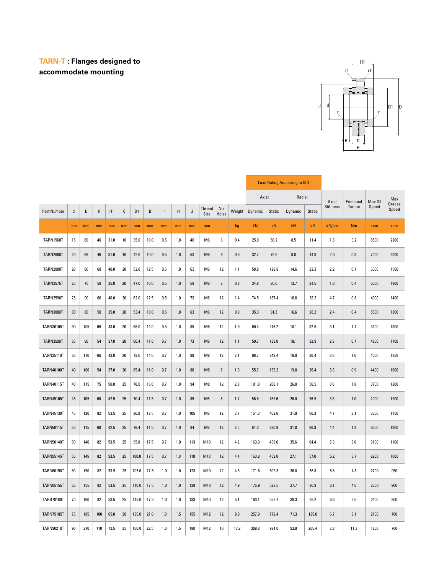### **TARN-T : Flanges designed to accommodate mounting**



|                    |        |        |        |      |        |                |        |              |         |     |                |              |         |         |        | <b>Load Rating According to ISO</b> |        |            |            |         |                 |
|--------------------|--------|--------|--------|------|--------|----------------|--------|--------------|---------|-----|----------------|--------------|---------|---------|--------|-------------------------------------|--------|------------|------------|---------|-----------------|
|                    |        |        |        |      |        |                |        |              |         |     |                |              |         | Axial   |        | Radial                              |        | Axial      | Frictional | Max Oil | Max             |
| <b>Part Number</b> | d      | D      | Н      | H1   | C      | D <sub>1</sub> | B      | $\mathsf{r}$ | r1      | J   | Thread<br>Size | No.<br>Holes | Weight  | Dynamic | Static | Dynamic                             | Static | Stiffness  | Torque     | Speed   | Grease<br>Speed |
|                    | mm     | mm     | mm     | mm   | mm     | mm             | mm     | mm           | mm      | mm  | mm             |              | kg      | kN      | kN     | kN                                  | kN     | $kN/\mu m$ | <b>Nm</b>  | rpm     | rpm             |
| <b>TARN1560T</b>   | 15     | 60     | 46     | 31.0 | 16     | 35.0           | 10.0   | 0.5          | 1.0     | 46  | M <sub>6</sub> | 6            | 0.4     | 25.0    | 50.2   | 8.5                                 | 11.4   | 1.3        | 0.2        | 8500    | 2200            |
| <b>TARN2068T</b>   | 20     | 68     | 46     | 31.0 | 16     | 42.0           | 10.0   | 0.5          | 1.0     | 53  | M <sub>6</sub> | 8            | 0.6     | 32.7    | 75.9   | 9.8                                 | 14.9   | 2.0        | 0.3        | 7000    | 2000            |
| <b>TARN2080T</b>   | $20\,$ | 80     | 60     | 40.0 | 20     | 52.0           | 12.5   | 0.5          | 1.0     | 63  | M <sub>6</sub> | 12           | 1.1     | 58.8    | 128.8  | 14.6                                | 22.3   | 2.2        | 0.7        | 6000    | 1500            |
| <b>TARN2575T</b>   | 25     | 75     | $50\,$ | 35.0 | $20\,$ | 47.0           | $10.0$ | 0.5          | $1.0\,$ | 58  | M <sub>6</sub> | $\bf 8$      | $0.8\,$ | 34.8    | 86.0   | 13.7                                | 24.5   | 1.3        | 0.4        | 6000    | 1900            |
| <b>TARN2590T</b>   | 25     | 90     | 60     | 40.0 | 20     | 62.0           | 12.5   | 0.5          | 1.0     | 73  | M <sub>6</sub> | 12           | 1.4     | 74.5    | 187.4  | 16.6                                | 28.2   | 4.7        | 0.8        | 4900    | 1400            |
| <b>TARN3080T</b>   | 30     | $80\,$ | $50\,$ | 35.0 | 20     | 53.4           | 10.0   | 0.5          | 1.0     | 63  | M <sub>6</sub> | 12           | 0.9     | 35.3    | 91.3   | 16.6                                | 28.2   | 2.4        | 0.4        | 5500    | 1800            |
| <b>TARN30105T</b>  | 30     | 105    | 66     | 43.0 | 20     | 68.0           | 14.0   | 0.5          | 1.0     | 85  | M8             | 12           | 1.9     | 90.4    | 216.2  | 18.1                                | 32.9   | 3.1        | 1.4        | 4400    | 1300            |
| <b>TARN3590T</b>   | 35     | 90     | 54     | 37.0 | 20     | 60.4           | 11.0   | 0.7          | 1.0     | 73  | M6             | 12           | 1.1     | 50.7    | 133.0  | 18.1                                | 32.9   | 2.8        | 0.7        | 4800    | 1700            |
| <b>TARN35110T</b>  | 35     | 110    | 66     | 43.0 | $20\,$ | 73.0           | 14.0   | 0.7          | $1.0$   | 88  | M8             | 12           | 2.1     | 98.7    | 249.4  | 19.0                                | 36.4   | 3.6        | 1.6        | 4000    | 1250            |
| <b>TARN40100T</b>  | 40     | 100    | 54     | 37.0 | 20     | 65.4           | 11.0   | 0.7          | 1.0     | 80  | M8             | 8            | 1.3     | 55.7    | 155.2  | 19.0                                | 36.4   | 3.3        | 0.9        | 4400    | 1600            |
| <b>TARN40115T</b>  | 40     | 115    | 75     | 50.0 | 25     | 78.0           | 16.0   | 0.7          | 1.0     | 94  | M8             | 12           | 2.8     | 101.8   | 266.1  | 26.0                                | 56.5   | 3.8        | 1.8        | 3700    | 1200            |
| <b>TARN45105T</b>  | 45     | 105    | 60     | 42.5 | 25     | 70.4           | 11.5   | 0.7          | $1.0$   | 85  | M8             | $\bf 8$      | 1.7     | 56.6    | 162.6  | 26.0                                | 56.5   | 3.5        | 1.0        | 4000    | 1500            |
| <b>TARN45130T</b>  | 45     | 130    | 82     | 53.5 | 25     | 90.0           | 17.5   | 0.7          | 1.0     | 105 | M8             | 12           | 3.7     | 151.3   | 402.6  | 31.8                                | 66.3   | 4.7        | 3.1        | 3300    | 1150            |
| <b>TARN50115T</b>  | 50     | 115    | 60     | 42.5 | 25     | 78.4           | 11.5   | 0.7          | 1.0     | 94  | M8             | 12           | 2.0     | 84.3    | 280.9  | 31.8                                | 66.3   | 4.4        | 1.2        | 3600    | 1200            |
| <b>TARN50140T</b>  | 50     | 140    | 82     | 53.5 | 25     | 95.0           | 17.5   | 0.7          | 1.0     | 113 | M10            | 12           | 4.2     | 163.0   | 453.0  | 35.6                                | 64.4   | 5.3        | 3.6        | 3100    | 1100            |
| <b>TARN55145T</b>  | 55     | 145    | 82     | 53.5 | 25     | 100.0          | 17.5   | 0.7          | 1.0     | 118 | M10            | 12           | 4.4     | 160.8   | 453.0  | 27.1                                | 57.0   | 5.2        | 3.7        | 2900    | 1000            |
| <b>TARN60150T</b>  | 60     | 150    | 82     | 53.5 | 25     | 105.0          | 17.5   | 1.0          | 1.0     | 123 | M10            | 12           | 4.6     | 171.6   | 503.3  | 36.8                                | 86.8   | 5.8        | 4.3        | 2700    | 950             |
| <b>TARN65155T</b>  | 65     | 155    | 82     | 53.5 | 25     | 110.0          | 17.5   | 1.0          | 1.0     | 128 | M10            | 12           | 4.9     | 175.9   | 528.5  | 37.7                                | 90.9   | 6.1        | 4.6        | 2600    | 900             |
| <b>TARB70160T</b>  | 70     | 160    | 82     | 53.5 | 25     | 115.0          | 17.5   | 1.0          | 1.0     | 133 | M10            | 12           | 5.1     | 180.1   | 553.7  | 39.3                                | 99.2   | 6.3        | 5.0        | 2400    | 800             |
| <b>TARN75185T</b>  | 75     | 185    | 100    | 65.0 | 30     | 135.0          | 21.0   | 1.0          | 1.5     | 155 | M12            | 12           | 8.9     | 257.9   | 772.4  | 71.3                                | 135.0  | 6.7        | 8.1        | 2100    | 700             |
| <b>TARN90210T</b>  | 90     | 210    | 110    | 72.5 | 35     | 160.0          | 22.5   | 1.0          | 1.5     | 180 | M12            | 16           | 13.2    | 309.8   | 984.0  | 93.8                                | 205.4  | 8.3        | 11.3       | 1800    | 700             |